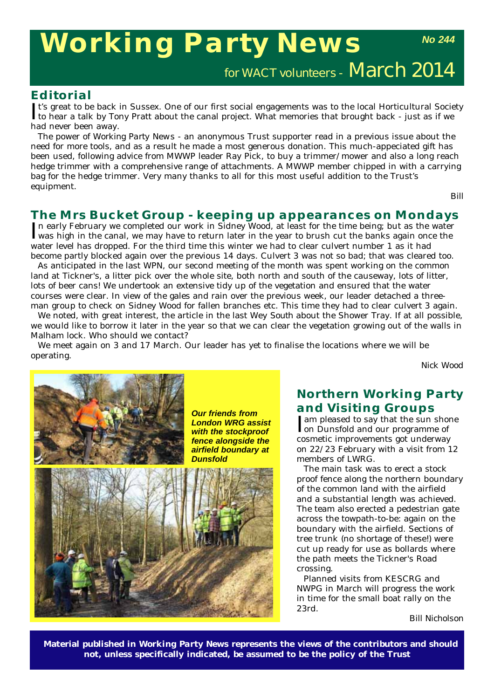# **Working Party News**

*No 244*

for WACT volunteers - March 2014

#### **Editorial**

It's great to be back in Sussex. One of our first social engagements was to the local Horticultural Socie<br>to hear a talk by Tony Pratt about the canal project. What memories that brought back - just as if we **T**t's great to be back in Sussex. One of our first social engagements was to the local Horticultural Society had never been away.

The power of *Working Party News* - an anonymous Trust supporter read in a previous issue about the need for more tools, and as a result he made a most generous donation. This much-appeciated gift has been used, following advice from MWWP leader Ray Pick, to buy a trimmer/mower and also a long reach hedge trimmer with a comprehensive range of attachments. A MWWP member chipped in with a carrying bag for the hedge trimmer. Very many thanks to all for this most useful addition to the Trust's equipment.

*Bill*

#### **The Mrs Bucket Group - keeping up appearances on Mondays**

In early February we completed our work in Sidney Wood, at least for the time being; but as the water<br>I was high in the canal, we may have to return later in the year to brush cut the banks again once the was high in the canal, we may have to return later in the year to brush cut the banks again once the water level has dropped. For the third time this winter we had to clear culvert number 1 as it had become partly blocked again over the previous 14 days. Culvert 3 was not so bad; that was cleared too.

As anticipated in the last WPN, our second meeting of the month was spent working on the common land at Tickner's, a litter pick over the whole site, both north and south of the causeway, lots of litter, lots of beer cans! We undertook an extensive tidy up of the vegetation and ensured that the water courses were clear. In view of the gales and rain over the previous week, our leader detached a threeman group to check on Sidney Wood for fallen branches etc. This time they had to clear culvert 3 again.

We noted, with great interest, the article in the last *Wey South* about the Shower Tray. If at all possible, we would like to borrow it later in the year so that we can clear the vegetation growing out of the walls in Malham lock. Who should we contact?

We meet again on 3 and 17 March. Our leader has yet to finalise the locations where we will be operating.

*Nick Wood*



# **Northern Working Party and Visiting Groups**

In pleased to say that the sun sho<br>Ion Dunsfold and our programme of  $\tan$  pleased to say that the sun shone cosmetic improvements got underway on 22/23 February with a visit from 12 members of LWRG.

The main task was to erect a stock proof fence along the northern boundary of the common land with the airfield and a substantial length was achieved. The team also erected a pedestrian gate across the towpath-to-be: again on the boundary with the airfield. Sections of tree trunk (no shortage of these!) were cut up ready for use as bollards where the path meets the Tickner's Road crossing.

Planned visits from KESCRG and NWPG in March will progress the work in time for the small boat rally on the 23rd.

*Bill Nicholson*

**Material published in** *Working Party News* **represents the views of the contributors and should not, unless specifically indicated, be assumed to be the policy of the Trust**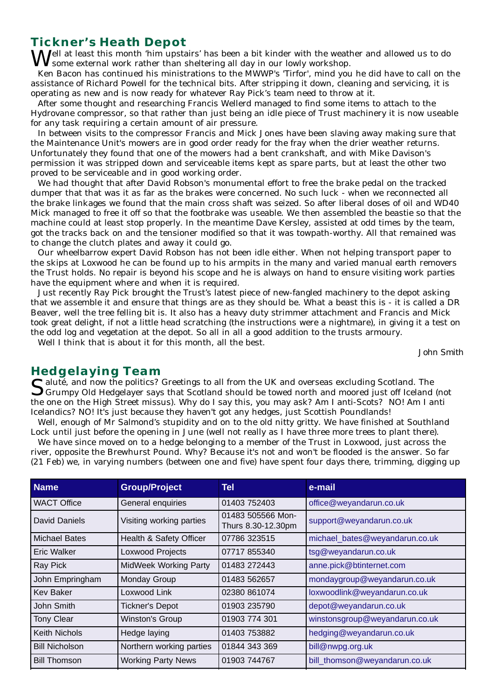### **Tickner's Heath Depot**

 $\bf M$ ell at least this month 'him upstairs' has been a bit kinder with the weather and allowed us to do some external work rather than sheltering all day in our lowly workshop.

Ken Bacon has continued his ministrations to the MWWP's 'Tirfor', mind you he did have to call on the assistance of Richard Powell for the technical bits. After stripping it down, cleaning and servicing, it is operating as new and is now ready for whatever Ray Pick's team need to throw at it.

After some thought and researching Francis Wellerd managed to find some items to attach to the Hydrovane compressor, so that rather than just being an idle piece of Trust machinery it is now useable for any task requiring a certain amount of air pressure.

In between visits to the compressor Francis and Mick Jones have been slaving away making sure that the Maintenance Unit's mowers are in good order ready for the fray when the drier weather returns. Unfortunately they found that one of the mowers had a bent crankshaft, and with Mike Davison's permission it was stripped down and serviceable items kept as spare parts, but at least the other two proved to be serviceable and in good working order.

We had thought that after David Robson's monumental effort to free the brake pedal on the tracked dumper that that was it as far as the brakes were concerned. No such luck - when we reconnected all the brake linkages we found that the main cross shaft was seized. So after liberal doses of oil and WD40 Mick managed to free it off so that the footbrake was useable. We then assembled the beastie so that the machine could at least stop properly. In the meantime Dave Kersley, assisted at odd times by the team, got the tracks back on and the tensioner modified so that it was towpath-worthy. All that remained was to change the clutch plates and away it could go.

Our wheelbarrow expert David Robson has not been idle either. When not helping transport paper to the skips at Loxwood he can be found up to his armpits in the many and varied manual earth removers the Trust holds. No repair is beyond his scope and he is always on hand to ensure visiting work parties have the equipment where and when it is required.

Just recently Ray Pick brought the Trust's latest piece of new-fangled machinery to the depot asking that we assemble it and ensure that things are as they should be. What a beast this is - it is called a DR Beaver, well the tree felling bit is. It also has a heavy duty strimmer attachment and Francis and Mick took great delight, if not a little head scratching (the instructions were a nightmare), in giving it a test on the odd log and vegetation at the depot. So all in all a good addition to the trusts armoury.

Well I think that is about it for this month, all the best.

*John Smith*

#### **Hedgelaying Team**

 $\bigcap$  aluté, and now the politics? Greetings to all from the UK and overseas excluding Scotland. The Grumpy Old Hedgelayer says that Scotland should be towed north and moored just off Iceland (not the one on the High Street missus). Why do I say this, you may ask? Am I anti-Scots? NO! Am I anti Icelandics? NO! It's just because they haven't got any hedges, just Scottish Poundlands!

Well, enough of Mr Salmond's stupidity and on to the old nitty gritty. We have finished at Southland Lock until just before the opening in June (well not really as I have three more trees to plant there).

We have since moved on to a hedge belonging to a member of the Trust in Loxwood, just across the river, opposite the Brewhurst Pound. Why? Because it's not and won't be flooded is the answer. So far (21 Feb) we, in varying numbers (between one and five) have spent four days there, trimming, digging up

| <b>Name</b>           | <b>Group/Project</b>         | Tel                                     | e-mail                         |
|-----------------------|------------------------------|-----------------------------------------|--------------------------------|
| <b>WACT Office</b>    | General enquiries            | 01403 752403                            | office@weyandarun.co.uk        |
| David Daniels         | Visiting working parties     | 01483 505566 Mon-<br>Thurs 8.30-12.30pm | support@weyandarun.co.uk       |
| <b>Michael Bates</b>  | Health & Safety Officer      | 07786 323515                            | michael_bates@weyandarun.co.uk |
| Eric Walker           | Loxwood Projects             | 07717 855340                            | tsg@weyandarun.co.uk           |
| Ray Pick              | <b>MidWeek Working Party</b> | 01483 272443                            | anne.pick@btinternet.com       |
| John Empringham       | Monday Group                 | 01483 562657                            | mondaygroup@weyandarun.co.uk   |
| <b>Kev Baker</b>      | Loxwood Link                 | 02380 861074                            | loxwoodlink@weyandarun.co.uk   |
| John Smith            | <b>Tickner's Depot</b>       | 01903 235790                            | depot@weyandarun.co.uk         |
| <b>Tony Clear</b>     | Winston's Group              | 01903 774 301                           | winstonsgroup@weyandarun.co.uk |
| <b>Keith Nichols</b>  | Hedge laying                 | 01403 753882                            | hedging@weyandarun.co.uk       |
| <b>Bill Nicholson</b> | Northern working parties     | 01844 343 369                           | bill@nwpg.org.uk               |
| <b>Bill Thomson</b>   | <b>Working Party News</b>    | 01903 744767                            | bill_thomson@weyandarun.co.uk  |